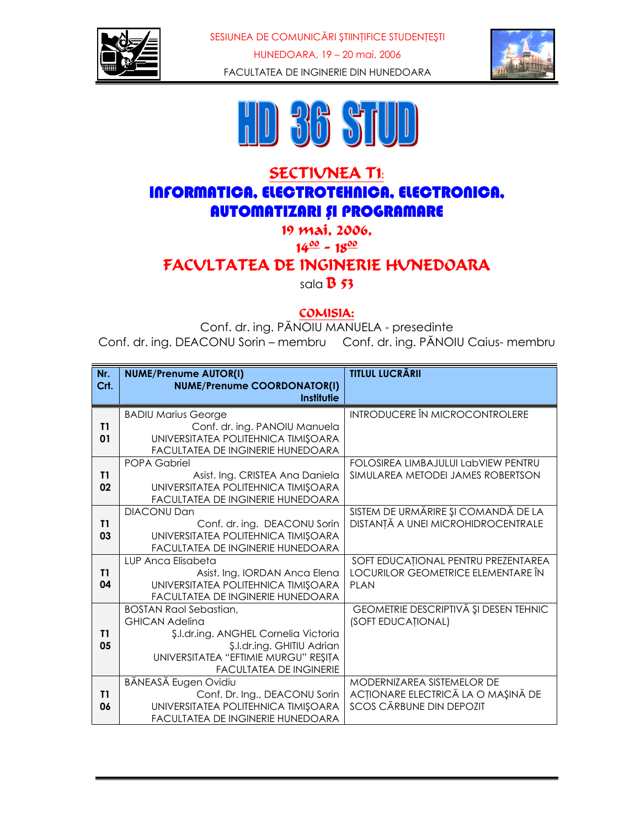

SESIUNEA DE COMUNICĂRI ȘTIINȚIFICE STUDENȚEȘTI HUNEDOARA, 19 - 20 mai, 2006 FACULTATEA DE INGINERIE DIN HUNEDOARA





## **SECTIVNEA TI:** INFORMATICA, ELECTROTEHNICA, ELECTRONICA, **AUTOMATIZARI SI PROGRAMARE**

19 mai. 2006.

 $14^{00} - 18^{00}$ 

FACVLTATEA DE INGINERIE HUNEDOARA

sala  $\overline{B}$  53

#### COMISIA:

Conf. dr. ing. PĂNOIU MANUELA - presedinte Conf. dr. ing. DEACONU Sorin - membru Conf. dr. ing. PĂNOIU Caius- membru

| Nr.<br>Crt. | <b>NUME/Prenume AUTOR(I)</b><br><b>NUME/Prenume COORDONATOR(I)</b><br>Institutie                                                                                                                        | <b>TITLUL LUCRĂRII</b>                                                                              |
|-------------|---------------------------------------------------------------------------------------------------------------------------------------------------------------------------------------------------------|-----------------------------------------------------------------------------------------------------|
| T1<br>01    | <b>BADIU Marius George</b><br>Conf. dr. ing. PANOIU Manuela<br>UNIVERSITATEA POLITEHNICA TIMIȘOARA<br>FACULTATEA DE INGINERIE HUNEDOARA                                                                 | <b>INTRODUCERE ÎN MICROCONTROLERE</b>                                                               |
| T1<br>02    | <b>POPA Gabriel</b><br>Asist. Ing. CRISTEA Ana Daniela<br>UNIVERSITATEA POLITEHNICA TIMIȘOARA<br>FACULTATEA DE INGINERIE HUNEDOARA                                                                      | FOLOSIREA LIMBAJULUI LabVIEW PENTRU<br>SIMULAREA METODEI JAMES ROBERTSON                            |
| T1<br>03    | <b>DIACONU Dan</b><br>Conf. dr. ing. DEACONU Sorin<br>UNIVERSITATEA POLITEHNICA TIMIȘOARA<br>FACULTATEA DE INGINERIE HUNEDOARA                                                                          | SISTEM DE URMĂRIRE ȘI COMANDĂ DE LA<br>DISTANȚĂ A UNEI MICROHIDROCENTRALE                           |
| T1<br>04    | LUP Anca Elisabeta<br>Asist. Ing. IORDAN Anca Elena<br>UNIVERSITATEA POLITEHNICA TIMIȘOARA<br>FACULTATEA DE INGINERIE HUNEDOARA                                                                         | SOFT EDUCAȚIONAL PENTRU PREZENTAREA<br>LOCURILOR GEOMETRICE ELEMENTARE ÎN<br><b>PLAN</b>            |
| T1<br>05    | <b>BOSTAN Raol Sebastian,</b><br><b>GHICAN Adelina</b><br>\$.l.dr.ing. ANGHEL Cornelia Victoria<br>\$.I.dr.ing. GHITIU Adrian<br>UNIVERSITATEA "EFTIMIE MURGU" REȘIȚA<br><b>FACULTATEA DE INGINERIE</b> | GEOMETRIE DESCRIPTIVĂ ȘI DESEN TEHNIC<br>(SOFT EDUCAȚIONAL)                                         |
| T1<br>06    | BĂNEASĂ Eugen Ovidiu<br>Conf. Dr. Ing., DEACONU Sorin<br>UNIVERSITATEA POLITEHNICA TIMIȘOARA<br>FACULTATEA DE INGINERIE HUNEDOARA                                                                       | MODERNIZAREA SISTEMELOR DE<br>ACȚIONARE ELECTRICĂ LA O MAȘINĂ DE<br><b>SCOS CĂRBUNE DIN DEPOZIT</b> |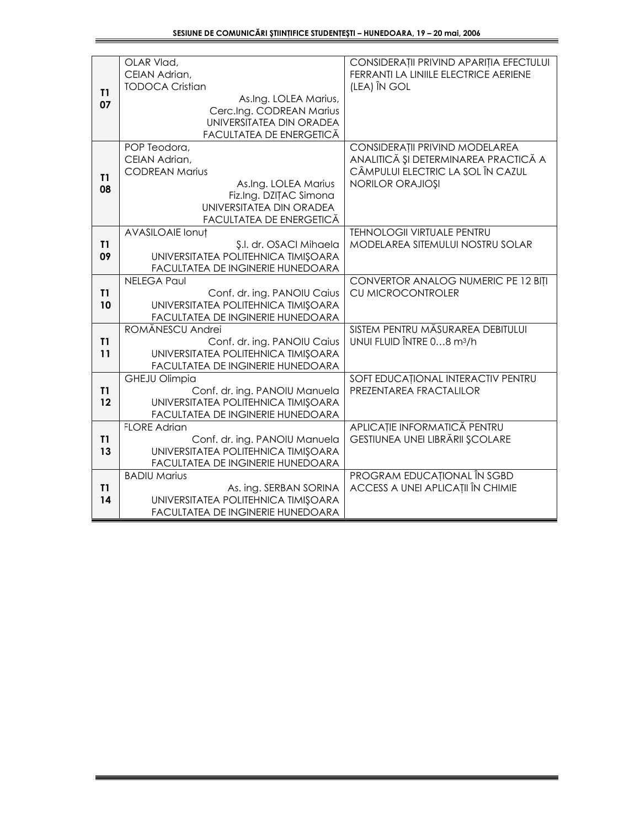|          | OLAR Vlad,<br>CEIAN Adrian,                                                                                                                                      | CONSIDERAȚII PRIVIND APARIȚIA EFECTULUI<br>FERRANTI LA LINIILE ELECTRICE AERIENE                                                       |
|----------|------------------------------------------------------------------------------------------------------------------------------------------------------------------|----------------------------------------------------------------------------------------------------------------------------------------|
| T1<br>07 | <b>TODOCA Cristian</b><br>As.Ing. LOLEA Marius,<br>Cerc.Ing. CODREAN Marius<br>UNIVERSITATEA DIN ORADEA<br>FACULTATEA DE ENERGETICĂ                              | (LEA) ÎN GOL                                                                                                                           |
| T1<br>08 | POP Teodora,<br>CEIAN Adrian,<br><b>CODREAN Marius</b><br>As.Ing. LOLEA Marius<br>Fiz.Ing. DZITAC Simona<br>UNIVERSITATEA DIN ORADEA<br>FACULTATEA DE ENERGETICĂ | CONSIDERAȚII PRIVIND MODELAREA<br>ANALITICĂ ȘI DETERMINAREA PRACTICĂ A<br>CÂMPULUI ELECTRIC LA SOL ÎN CAZUL<br><b>NORILOR ORAJIOȘI</b> |
| T1<br>09 | <b>AVASILOAIE Ionut</b><br>Ş.I. dr. OSACI Mihaela<br>UNIVERSITATEA POLITEHNICA TIMIȘOARA<br>FACULTATEA DE INGINERIE HUNEDOARA                                    | <b>TEHNOLOGII VIRTUALE PENTRU</b><br>MODELAREA SITEMULUI NOSTRU SOLAR                                                                  |
| T1<br>10 | <b>NELEGA Paul</b><br>Conf. dr. ing. PANOIU Caius<br>UNIVERSITATEA POLITEHNICA TIMIȘOARA<br>FACULTATEA DE INGINERIE HUNEDOARA                                    | CONVERTOR ANALOG NUMERIC PE 12 BITI<br>CU MICROCONTROLER                                                                               |
| T1<br>11 | ROMĂNESCU Andrei<br>Conf. dr. ing. PANOIU Caius<br>UNIVERSITATEA POLITEHNICA TIMIȘOARA<br>FACULTATEA DE INGINERIE HUNEDOARA                                      | SISTEM PENTRU MĂSURAREA DEBITULUI<br>UNUI FLUID ÎNTRE 08 m <sup>3</sup> /h                                                             |
| T1<br>12 | <b>GHEJU Olimpia</b><br>Conf. dr. ing. PANOIU Manuela<br>UNIVERSITATEA POLITEHNICA TIMIȘOARA<br>FACULTATEA DE INGINERIE HUNEDOARA                                | SOFT EDUCATIONAL INTERACTIV PENTRU<br>PREZENTAREA FRACTALILOR                                                                          |
| T1<br>13 | <b>FLORE Adrian</b><br>Conf. dr. ing. PANOIU Manuela<br>UNIVERSITATEA POLITEHNICA TIMIŞOARA<br>FACULTATEA DE INGINERIE HUNEDOARA                                 | APLICAȚIE INFORMATICĂ PENTRU<br>GESTIUNEA UNEI LIBRĂRII ȘCOLARE                                                                        |
| T1<br>14 | <b>BADIU Marius</b><br>As. ing. SERBAN SORINA<br>UNIVERSITATEA POLITEHNICA TIMIȘOARA<br>FACULTATEA DE INGINERIE HUNEDOARA                                        | PROGRAM EDUCAȚIONAL ÎN SGBD<br><b>ACCESS A UNEI APLICATII ÎN CHIMIE</b>                                                                |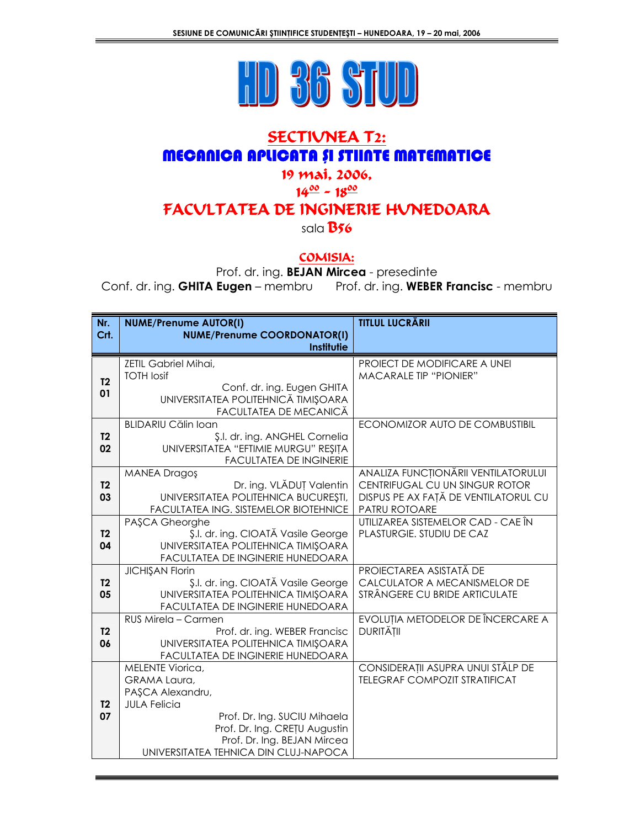

# **SECTIVNEA T2: MECANICA APLICATA SI STIINTE MATEMATICE**

## 19 mai, 2006,

# $14^{00} - 18^{00}$

## FACVLTATEA DE INGINERIE HUNEDOARA

sala  $B56$ 

#### COMISIA:

Prof. dr. ing. BEJAN Mircea - presedinte

Conf. dr. ing. GHITA Eugen - membru Prof. dr. ing. WEBER Francisc - membru

| Nr.                  | <b>NUME/Prenume AUTOR(I)</b>                                                                | <b>TITLUL LUCRĂRII</b>               |
|----------------------|---------------------------------------------------------------------------------------------|--------------------------------------|
| Crt.                 | <b>NUME/Prenume COORDONATOR(I)</b><br>Institutie                                            |                                      |
|                      | ZETIL Gabriel Mihai,                                                                        | PROIECT DE MODIFICARE A UNEI         |
| T <sub>2</sub>       | <b>TOTH losif</b>                                                                           | <b>MACARALE TIP "PIONIER"</b>        |
| 01                   | Conf. dr. ing. Eugen GHITA<br>UNIVERSITATEA POLITEHNICĂ TIMIȘOARA<br>FACULTATEA DE MECANICĂ |                                      |
|                      | <b>BLIDARIU Călin Ioan</b>                                                                  | ECONOMIZOR AUTO DE COMBUSTIBIL       |
| T <sub>2</sub>       | \$.l. dr. ing. ANGHEL Cornelia                                                              |                                      |
| 02                   | UNIVERSITATEA "EFTIMIE MURGU" REȘIȚA<br><b>FACULTATEA DE INGINERIE</b>                      |                                      |
|                      | <b>MANEA Dragoş</b>                                                                         | ANALIZA FUNCȚIONĂRII VENTILATORULUI  |
| T <sub>2</sub>       | Dr. ing. VLĂDUȚ Valentin                                                                    | CENTRIFUGAL CU UN SINGUR ROTOR       |
| 03                   | UNIVERSITATEA POLITEHNICA BUCUREȘTI,                                                        | DISPUS PE AX FAȚĂ DE VENTILATORUL CU |
|                      | FACULTATEA ING. SISTEMELOR BIOTEHNICE                                                       | PATRU ROTOARE                        |
|                      | PASCA Gheorghe                                                                              | UTILIZAREA SISTEMELOR CAD - CAE ÎN   |
| T <sub>2</sub><br>04 | \$.l. dr. ing. CIOATĂ Vasile George<br>UNIVERSITATEA POLITEHNICA TIMIȘOARA                  | PLASTURGIE. STUDIU DE CAZ            |
|                      | FACULTATEA DE INGINERIE HUNEDOARA                                                           |                                      |
|                      | <b>JICHIŞAN Florin</b>                                                                      | PROIECTAREA ASISTATĂ DE              |
| <b>T2</b>            | \$.l. dr. ing. CIOATĂ Vasile George                                                         | CALCULATOR A MECANISMELOR DE         |
| 05                   | UNIVERSITATEA POLITEHNICA TIMIȘOARA                                                         | STRÂNGERE CU BRIDE ARTICULATE        |
|                      | FACULTATEA DE INGINERIE HUNEDOARA<br>RUS Mirela - Carmen                                    | EVOLUȚIA METODELOR DE ÎNCERCARE A    |
| T <sub>2</sub>       | Prof. dr. ing. WEBER Francisc                                                               | <b>DURITĂȚII</b>                     |
| 06                   | UNIVERSITATEA POLITEHNICA TIMIȘOARA                                                         |                                      |
|                      | FACULTATEA DE INGINERIE HUNEDOARA                                                           |                                      |
|                      | MELENTE Viorica,                                                                            | CONSIDERAȚII ASUPRA UNUI STÂLP DE    |
|                      | GRAMA Laura,                                                                                | <b>TELEGRAF COMPOZIT STRATIFICAT</b> |
| T <sub>2</sub>       | PAȘCA Alexandru,<br><b>JULA Felicia</b>                                                     |                                      |
| 07                   | Prof. Dr. Ing. SUCIU Mihaela                                                                |                                      |
|                      | Prof. Dr. Ing. CREȚU Augustin                                                               |                                      |
|                      | Prof. Dr. Ing. BEJAN Mircea                                                                 |                                      |
|                      | UNIVERSITATEA TEHNICA DIN CLUJ-NAPOCA                                                       |                                      |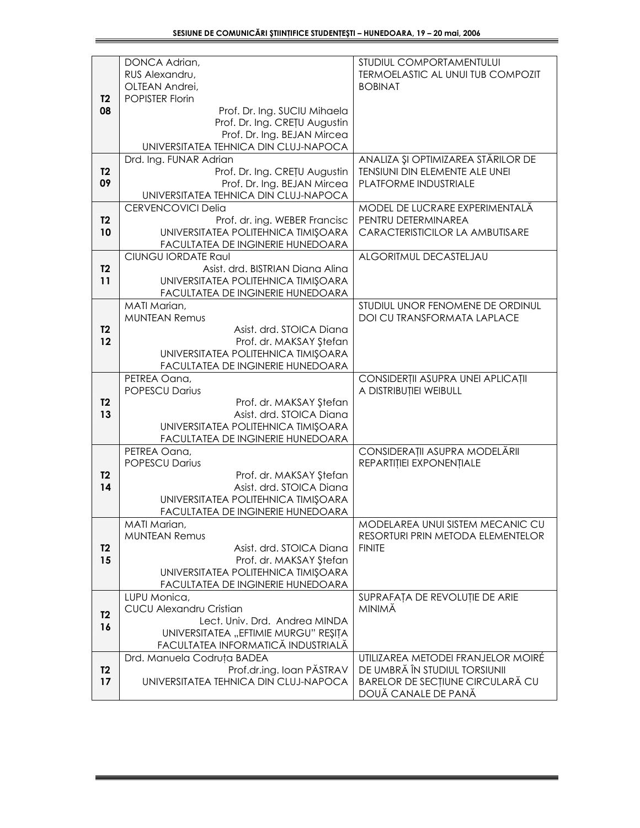|                | DONCA Adrian,                                                         | STUDIUL COMPORTAMENTULUI                                               |
|----------------|-----------------------------------------------------------------------|------------------------------------------------------------------------|
|                | RUS Alexandru,<br>OLTEAN Andrei,                                      | TERMOELASTIC AL UNUI TUB COMPOZIT<br><b>BOBINAT</b>                    |
| T <sub>2</sub> | <b>POPISTER Florin</b>                                                |                                                                        |
| 08             | Prof. Dr. Ing. SUCIU Mihaela                                          |                                                                        |
|                | Prof. Dr. Ing. CREȚU Augustin                                         |                                                                        |
|                | Prof. Dr. Ing. BEJAN Mircea                                           |                                                                        |
|                | UNIVERSITATEA TEHNICA DIN CLUJ-NAPOCA                                 |                                                                        |
|                | Drd. Ing. FUNAR Adrian                                                | ANALIZA ȘI OPTIMIZAREA STĂRILOR DE                                     |
| T <sub>2</sub> | Prof. Dr. Ing. CRETU Augustin                                         | TENSIUNI DIN ELEMENTE ALE UNEI                                         |
| 09             | Prof. Dr. Ing. BEJAN Mircea                                           | PLATFORME INDUSTRIALE                                                  |
|                | UNIVERSITATEA TEHNICA DIN CLUJ-NAPOCA                                 |                                                                        |
|                | <b>CERVENCOVICI Delia</b>                                             | MODEL DE LUCRARE EXPERIMENTALĂ                                         |
| <b>T2</b>      | Prof. dr. ing. WEBER Francisc                                         | PENTRU DETERMINAREA                                                    |
| 10             | UNIVERSITATEA POLITEHNICA TIMIȘOARA                                   | CARACTERISTICILOR LA AMBUTISARE                                        |
|                | FACULTATEA DE INGINERIE HUNEDOARA                                     |                                                                        |
|                | <b>CIUNGU IORDATE Raul</b>                                            | ALGORITMUL DECASTELJAU                                                 |
| T <sub>2</sub> | Asist. drd. BISTRIAN Diana Alina                                      |                                                                        |
| 11             | UNIVERSITATEA POLITEHNICA TIMIȘOARA                                   |                                                                        |
|                | FACULTATEA DE INGINERIE HUNEDOARA                                     |                                                                        |
|                | MATI Marian,<br><b>MUNTEAN Remus</b>                                  | STUDIUL UNOR FENOMENE DE ORDINUL<br><b>DOI CU TRANSFORMATA LAPLACE</b> |
| T <sub>2</sub> | Asist, drd. STOICA Diana                                              |                                                                        |
| 12             | Prof. dr. MAKSAY Ştefan                                               |                                                                        |
|                | UNIVERSITATEA POLITEHNICA TIMIȘOARA                                   |                                                                        |
|                | FACULTATEA DE INGINERIE HUNEDOARA                                     |                                                                        |
|                | PETREA Oana,                                                          | CONSIDERȚII ASUPRA UNEI APLICAȚII                                      |
|                | <b>POPESCU Darius</b>                                                 | A DISTRIBUȚIEI WEIBULL                                                 |
| T <sub>2</sub> | Prof. dr. MAKSAY Ştefan                                               |                                                                        |
| 13             | Asist. drd. STOICA Diana                                              |                                                                        |
|                | UNIVERSITATEA POLITEHNICA TIMIȘOARA                                   |                                                                        |
|                | FACULTATEA DE INGINERIE HUNEDOARA                                     |                                                                        |
|                | PETREA Oana,<br><b>POPESCU Darius</b>                                 | CONSIDERAȚII ASUPRA MODELĂRII<br>REPARTIȚIEI EXPONENȚIALE              |
| T <sub>2</sub> | Prof. dr. MAKSAY Ştefan                                               |                                                                        |
| 14             | Asist. drd. STOICA Diana                                              |                                                                        |
|                | UNIVERSITATEA POLITEHNICA TIMIŞOARA                                   |                                                                        |
|                | FACULTATEA DE INGINERIE HUNEDOARA                                     |                                                                        |
|                | MATI Marian,                                                          | MODELAREA UNUI SISTEM MECANIC CU                                       |
|                | <b>MUNTEAN Remus</b>                                                  | RESORTURI PRIN METODA ELEMENTELOR                                      |
| T <sub>2</sub> | Asist. drd. STOICA Diana                                              | <b>FINITE</b>                                                          |
| 15             | Prof. dr. MAKSAY Ştefan                                               |                                                                        |
|                | UNIVERSITATEA POLITEHNICA TIMIŞOARA                                   |                                                                        |
|                | FACULTATEA DE INGINERIE HUNEDOARA                                     |                                                                        |
|                | LUPU Monica,                                                          | SUPRAFAȚA DE REVOLUȚIE DE ARIE                                         |
| <b>T2</b>      | <b>CUCU Alexandru Cristian</b>                                        | <b>MINIMĂ</b>                                                          |
| 16             | Lect. Univ. Drd. Andrea MINDA<br>UNIVERSITATEA "EFTIMIE MURGU" REȘITA |                                                                        |
|                | FACULTATEA INFORMATICĂ INDUSTRIALĂ                                    |                                                                        |
|                | Drd. Manuela Codruța BADEA                                            | UTILIZAREA METODEI FRANJELOR MOIRÉ                                     |
| T <sub>2</sub> | Prof.dr.ing. Ioan PĂSTRAV                                             | DE UMBRĂ ÎN STUDIUL TORSIUNII                                          |
| 17             | UNIVERSITATEA TEHNICA DIN CLUJ-NAPOCA                                 | BARELOR DE SECȚIUNE CIRCULARĂ CU                                       |
|                |                                                                       | DOUĂ CANALE DE PANĂ                                                    |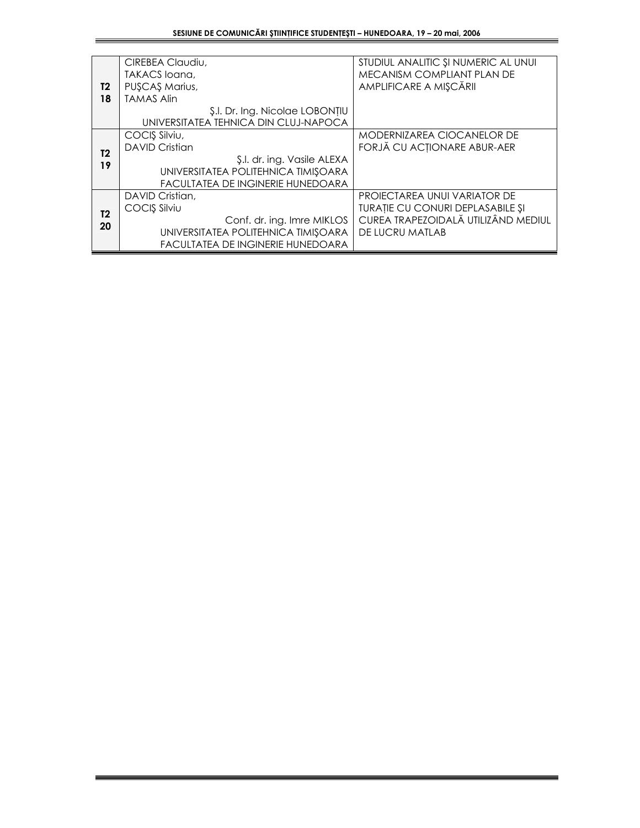|                | CIREBEA Claudiu,                      | STUDIUL ANALITIC ȘI NUMERIC AL UNUI |
|----------------|---------------------------------------|-------------------------------------|
|                | TAKACS loana,                         | MECANISM COMPLIANT PLAN DE          |
| T2             | PUSCAS Marius,                        | AMPLIFICARE A MIȘCĂRII              |
| 18             | <b>TAMAS Alin</b>                     |                                     |
|                | \$.l. Dr. Ing. Nicolae LOBONȚIU       |                                     |
|                | UNIVERSITATEA TEHNICA DIN CLUJ-NAPOCA |                                     |
|                | COCIŞ Silviu,                         | MODERNIZAREA CIOCANELOR DE          |
| T2             | <b>DAVID Cristian</b>                 | FORJĂ CU ACȚIONARE ABUR-AER         |
| 19             | \$.l. dr. ing. Vasile ALEXA           |                                     |
|                | UNIVERSITATEA POLITEHNICA TIMIȘOARA   |                                     |
|                | FACULTATEA DE INGINERIE HUNEDOARA     |                                     |
|                | DAVID Cristian.                       | PROJECTAREA UNUI VARIATOR DE        |
| T <sub>2</sub> | COCIS Silviu                          | TURAȚIE CU CONURI DEPLASABILE ȘI    |
| 20             | Conf. dr. ing. Imre MIKLOS            | CUREA TRAPEZOIDALĂ UTILIZÂND MEDIUL |
|                | UNIVERSITATEA POLITEHNICA TIMIȘOARA   | DE LUCRU MATLAB                     |
|                | FACULTATEA DE INGINERIE HUNEDOARA     |                                     |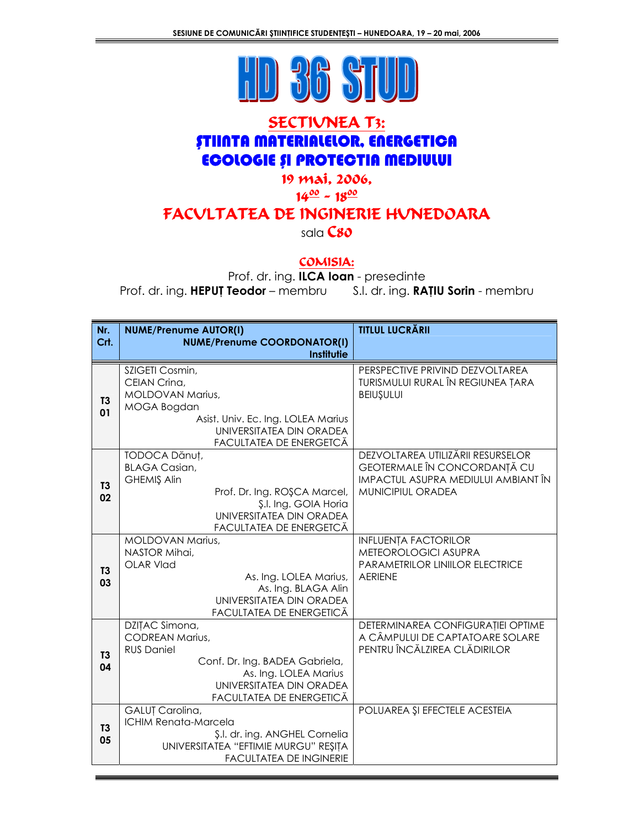

## **SECTIVNEA T3: ȘTIINTA MATERIALELOR, ENERGETICA ECOLOGIE ȘI PROTECTIA MEDIULUI**

#### 19 mai, 2006,

#### $14^{00} - 18^{00}$

## FACVLTATEA DE INGINERIE HUNEDOARA

sala $\mathsf{Cso}$ 

#### COMISIA:

Prof. dr. ing. ILCA loan - presedinte Prof. dr. ing. HEPUT Teodor - membru S.I. dr. ing. RATIU Sorin - membru

| Nr.                  | <b>NUME/Prenume AUTOR(I)</b>                                                                                                                                                     | <b>TITLUL LUCRĂRII</b>                                                                                                               |
|----------------------|----------------------------------------------------------------------------------------------------------------------------------------------------------------------------------|--------------------------------------------------------------------------------------------------------------------------------------|
| Crt.                 | <b>NUME/Prenume COORDONATOR(I)</b><br><b>Institutie</b>                                                                                                                          |                                                                                                                                      |
| T <sub>3</sub><br>01 | SZIGETI Cosmin,<br>CEIAN Crina,<br>MOLDOVAN Marius,<br>MOGA Bogdan<br>Asist. Univ. Ec. Ing. LOLEA Marius<br>UNIVERSITATEA DIN ORADEA<br>FACULTATEA DE ENERGETCĂ                  | PERSPECTIVE PRIVIND DEZVOLTAREA<br>TURISMULUI RURAL ÎN REGIUNEA ȚARA<br><b>BEIUŞULUI</b>                                             |
| T <sub>3</sub><br>02 | TODOCA Dănuț,<br><b>BLAGA Casian,</b><br><b>GHEMIŞ Alin</b><br>Prof. Dr. Ing. ROSCA Marcel,<br>\$.l. Ing. GOIA Horia<br>UNIVERSITATEA DIN ORADEA<br>FACULTATEA DE ENERGETCĂ      | DEZVOLTAREA UTILIZĂRII RESURSELOR<br>GEOTERMALE ÎN CONCORDANȚĂ CU<br><b>IMPACTUL ASUPRA MEDIULUI AMBIANT ÎN</b><br>MUNICIPIUL ORADEA |
| T3<br>03             | <b>MOLDOVAN Marius,</b><br>NASTOR Mihai,<br><b>OLAR Vlad</b><br>As. Ing. LOLEA Marius,<br>As. Ing. BLAGA Alin<br>UNIVERSITATEA DIN ORADEA<br>FACULTATEA DE ENERGETICĂ            | <b>INFLUENȚA FACTORILOR</b><br>METEOROLOGICI ASUPRA<br>PARAMETRILOR LINIILOR ELECTRICE<br><b>AERIENE</b>                             |
| T <sub>3</sub><br>04 | DZIȚAC Simona,<br><b>CODREAN Marius,</b><br><b>RUS Daniel</b><br>Conf. Dr. Ing. BADEA Gabriela,<br>As. Ing. LOLEA Marius<br>UNIVERSITATEA DIN ORADEA<br>FACULTATEA DE ENERGETICĂ | DETERMINAREA CONFIGURAȚIEI OPTIME<br>A CÂMPULUI DE CAPTATOARE SOLARE<br>PENTRU ÎNCĂLZIREA CLĂDIRILOR                                 |
| T <sub>3</sub><br>05 | GALUȚ Carolina,<br><b>ICHIM Renata-Marcela</b><br>\$.l. dr. ing. ANGHEL Cornelia<br>UNIVERSITATEA "EFTIMIE MURGU" REȘIȚA<br><b>FACULTATEA DE INGINERIE</b>                       | POLUAREA ȘI EFECTELE ACESTEIA                                                                                                        |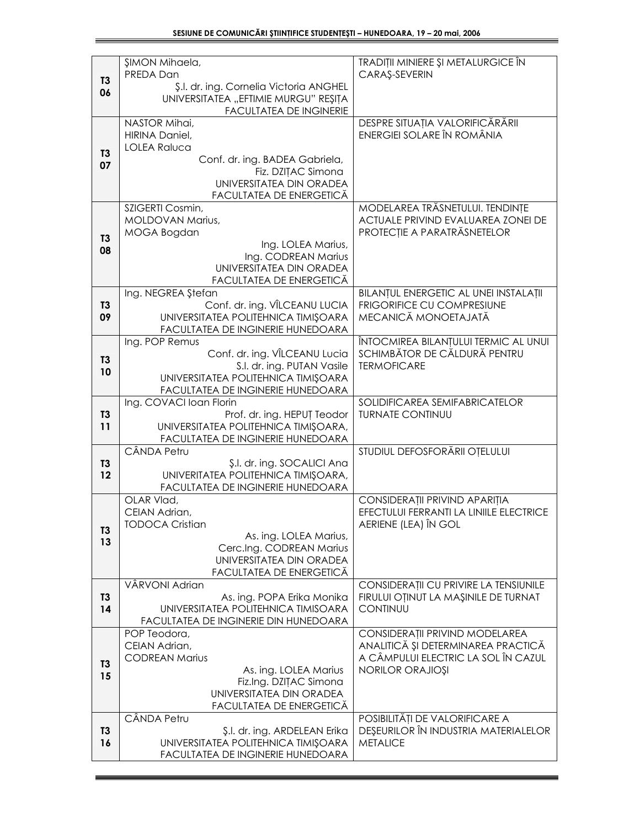|                      | ŞIMON Mihaela,<br>PREDA Dan                                               | TRADIȚII MINIERE ȘI METALURGICE ÎN<br>CARAŞ-SEVERIN                           |
|----------------------|---------------------------------------------------------------------------|-------------------------------------------------------------------------------|
| T <sub>3</sub>       | Ş.I. dr. ing. Cornelia Victoria ANGHEL                                    |                                                                               |
| 06                   | UNIVERSITATEA "EFTIMIE MURGU" REȘIȚA                                      |                                                                               |
|                      | <b>FACULTATEA DE INGINERIE</b><br>NASTOR Mihai,                           | DESPRE SITUAȚIA VALORIFICĂRĂRII                                               |
|                      | HIRINA Daniel,                                                            | ENERGIEI SOLARE ÎN ROMÂNIA                                                    |
| T <sub>3</sub>       | <b>LOLEA Raluca</b><br>Conf. dr. ing. BADEA Gabriela,                     |                                                                               |
| 07                   | Fiz. DZITAC Simona                                                        |                                                                               |
|                      | UNIVERSITATEA DIN ORADEA<br>FACULTATEA DE ENERGETICĂ                      |                                                                               |
|                      | SZIGERTI Cosmin,                                                          | MODELAREA TRĂSNETULUI. TENDINȚE                                               |
|                      | MOLDOVAN Marius,                                                          | ACTUALE PRIVIND EVALUAREA ZONEI DE                                            |
| T3                   | MOGA Bogdan<br>Ing. LOLEA Marius,                                         | PROTECȚIE A PARATRĂSNETELOR                                                   |
| 08                   | Ing. CODREAN Marius                                                       |                                                                               |
|                      | UNIVERSITATEA DIN ORADEA<br>FACULTATEA DE ENERGETICĂ                      |                                                                               |
|                      | Ing. NEGREA Ştefan                                                        | BILANȚUL ENERGETIC AL UNEI INSTALAȚII                                         |
| T3<br>09             | Conf. dr. ing. VÎLCEANU LUCIA<br>UNIVERSITATEA POLITEHNICA TIMIȘOARA      | FRIGORIFICE CU COMPRESIUNE<br>MECANICĂ MONOETAJATĂ                            |
|                      | FACULTATEA DE INGINERIE HUNEDOARA                                         |                                                                               |
|                      | Ing. POP Remus                                                            | ÎNTOCMIREA BILANȚULUI TERMIC AL UNUI<br>SCHIMBĂTOR DE CĂLDURĂ PENTRU          |
| T <sub>3</sub>       | Conf. dr. ing. VÎLCEANU Lucia<br>S.I. dr. ing. PUTAN Vasile               | <b>TERMOFICARE</b>                                                            |
| 10                   | UNIVERSITATEA POLITEHNICA TIMIŞOARA                                       |                                                                               |
|                      | FACULTATEA DE INGINERIE HUNEDOARA<br>Ing. COVACI Ioan Florin              | SOLIDIFICAREA SEMIFABRICATELOR                                                |
| <b>T3</b>            | Prof. dr. ing. HEPUȚ Teodor                                               | <b>TURNATE CONTINUU</b>                                                       |
| 11                   | UNIVERSITATEA POLITEHNICA TIMIȘOARA,<br>FACULTATEA DE INGINERIE HUNEDOARA |                                                                               |
|                      | CÂNDA Petru                                                               | STUDIUL DEFOSFORĂRII OȚELULUI                                                 |
| T <sub>3</sub><br>12 | \$.l. dr. ing. SOCALICI Ana<br>UNIVERITATEA POLITEHNICA TIMIȘOARA,        |                                                                               |
|                      | FACULTATEA DE INGINERIE HUNEDOARA                                         |                                                                               |
|                      | OLAR Vlad,                                                                | CONSIDERAȚII PRIVIND APARIȚIA<br>EFECTULUI FERRANTI LA LINIILE ELECTRICE      |
|                      | CEIAN Adrian,<br>TODOCA Cristian                                          | AERIENE (LEA) IN GOL                                                          |
| T3<br>13             | As. ing. LOLEA Marius,                                                    |                                                                               |
|                      | Cerc.Ing. CODREAN Marius<br>UNIVERSITATEA DIN ORADEA                      |                                                                               |
|                      | FACULTATEA DE ENERGETICĂ                                                  |                                                                               |
| T <sub>3</sub>       | VÂRVONI Adrian<br>As. ing. POPA Erika Monika                              | CONSIDERAȚII CU PRIVIRE LA TENSIUNILE<br>FIRULUI OȚINUT LA MAȘINILE DE TURNAT |
| 14                   | UNIVERSITATEA POLITEHNICA TIMISOARA                                       | CONTINUU                                                                      |
|                      | FACULTATEA DE INGINERIE DIN HUNEDOARA<br>POP Teodora,                     | CONSIDERAȚII PRIVIND MODELAREA                                                |
|                      | CEIAN Adrian,                                                             | ANALITICĂ ȘI DETERMINAREA PRACTICĂ                                            |
| T3                   | <b>CODREAN Marius</b><br>As. ing. LOLEA Marius                            | A CÂMPULUI ELECTRIC LA SOL ÎN CAZUL<br><b>NORILOR ORAJIOȘI</b>                |
| 15                   | Fiz.Ing. DZITAC Simona                                                    |                                                                               |
|                      | UNIVERSITATEA DIN ORADEA<br>FACULTATEA DE ENERGETICĂ                      |                                                                               |
|                      | CÂNDA Petru                                                               | POSIBILITĂȚI DE VALORIFICARE A                                                |
| T3                   | \$.I. dr. ing. ARDELEAN Erika                                             | DEŞEURILOR ÎN INDUSTRIA MATERIALELOR                                          |
| 16                   | UNIVERSITATEA POLITEHNICA TIMIȘOARA<br>FACULTATEA DE INGINERIE HUNEDOARA  | <b>METALICE</b>                                                               |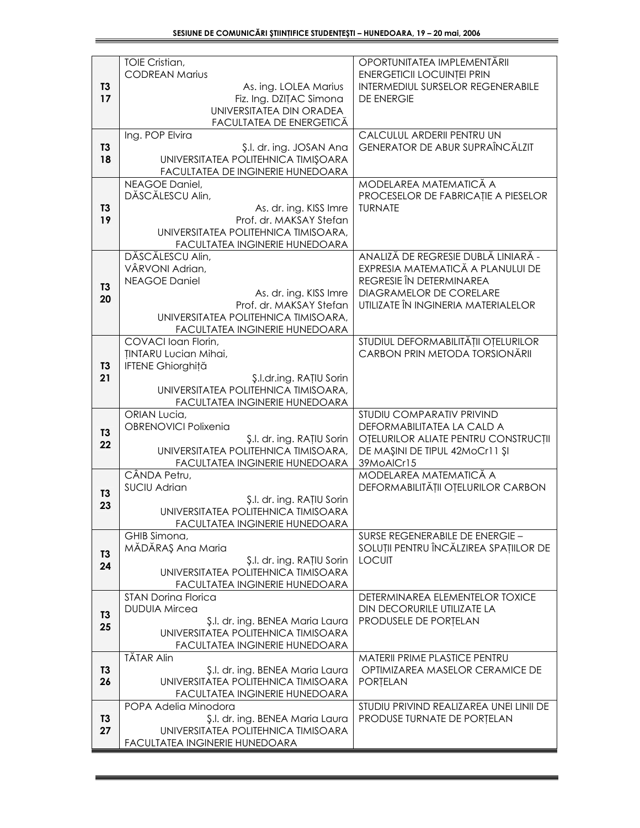|                | TOIE Cristian,<br><b>CODREAN Marius</b>                                 | OPORTUNITATEA IMPLEMENTĂRII<br><b>ENERGETICII LOCUINȚEI PRIN</b>      |
|----------------|-------------------------------------------------------------------------|-----------------------------------------------------------------------|
| T <sub>3</sub> | As. ing. LOLEA Marius                                                   | INTERMEDIUL SURSELOR REGENERABILE                                     |
| 17             | Fiz. Ing. DZITAC Simona                                                 | DE ENERGIE                                                            |
|                | UNIVERSITATEA DIN ORADEA                                                |                                                                       |
|                | FACULTATEA DE ENERGETICĂ<br>Ing. POP Elvira                             | CALCULUL ARDERII PENTRU UN                                            |
| <b>T3</b>      | Ş.l. dr. ing. JOSAN Ana                                                 | GENERATOR DE ABUR SUPRAÎNCĂLZIT                                       |
| 18             | UNIVERSITATEA POLITEHNICA TIMIȘOARA                                     |                                                                       |
|                | FACULTATEA DE INGINERIE HUNEDOARA                                       |                                                                       |
|                | NEAGOE Daniel,<br>DĂSCĂLESCU Alin,                                      | MODELAREA MATEMATICĂ A<br>PROCESELOR DE FABRICAȚIE A PIESELOR         |
| T3             | As. dr. ing. KISS Imre                                                  | <b>TURNATE</b>                                                        |
| 19             | Prof. dr. MAKSAY Stefan                                                 |                                                                       |
|                | UNIVERSITATEA POLITEHNICA TIMISOARA,                                    |                                                                       |
|                | FACULTATEA INGINERIE HUNEDOARA<br>DĂSCĂLESCU Alin,                      | ANALIZĂ DE REGRESIE DUBLĂ LINIARĂ -                                   |
|                | VÂRVONI Adrian,                                                         | EXPRESIA MATEMATICĂ A PLANULUI DE                                     |
| T3             | <b>NEAGOE Daniel</b>                                                    | REGRESIE ÎN DETERMINAREA                                              |
| 20             | As. dr. ing. KISS Imre<br>Prof. dr. MAKSAY Stefan                       | <b>DIAGRAMELOR DE CORELARE</b><br>UTILIZATE ÎN INGINERIA MATERIALELOR |
|                | UNIVERSITATEA POLITEHNICA TIMISOARA,                                    |                                                                       |
|                | FACULTATEA INGINERIE HUNEDOARA                                          |                                                                       |
|                | COVACI Ioan Florin,                                                     | STUDIUL DEFORMABILITĂȚII OȚELURILOR<br>CARBON PRIN METODA TORSIONĂRII |
| T <sub>3</sub> | <b><i>INTARU Lucian Mihai,</i></b><br><b>IFTENE Ghiorghită</b>          |                                                                       |
| 21             | \$.l.dr.ing. RATIU Sorin                                                |                                                                       |
|                | UNIVERSITATEA POLITEHNICA TIMISOARA,                                    |                                                                       |
|                | FACULTATEA INGINERIE HUNEDOARA<br>ORIAN Lucia,                          | STUDIU COMPARATIV PRIVIND                                             |
| <b>T3</b>      | <b>OBRENOVICI Polixenia</b>                                             | DEFORMABILITATEA LA CALD A                                            |
| 22             | \$.l. dr. ing. RATIU Sorin                                              | OTELURILOR ALIATE PENTRU CONSTRUCȚII                                  |
|                | UNIVERSITATEA POLITEHNICA TIMISOARA,<br>FACULTATEA INGINERIE HUNEDOARA  | DE MAŞINI DE TIPUL 42MoCr11 ŞI<br>39MoAlCr15                          |
|                | CÂNDA Petru,                                                            | MODELAREA MATEMATICA A                                                |
| T <sub>3</sub> | <b>SUCIU Adrian</b>                                                     | DEFORMABILITĂȚII OȚELURILOR CARBON                                    |
| 23             | \$.l. dr. ing. RATIU Sorin<br>UNIVERSITATEA POLITEHNICA TIMISOARA       |                                                                       |
|                | FACULTATEA INGINERIE HUNEDOARA                                          |                                                                       |
|                | GHIB Simona,                                                            | SURSE REGENERABILE DE ENERGIE -                                       |
| T <sub>3</sub> | MĂDĂRAȘ Ana Maria<br>\$.l. dr. ing. RATIU Sorin                         | SOLUȚII PENTRU ÎNCĂLZIREA SPAȚIILOR DE<br><b>LOCUIT</b>               |
| 24             | UNIVERSITATEA POLITEHNICA TIMISOARA                                     |                                                                       |
|                | FACULTATEA INGINERIE HUNEDOARA                                          |                                                                       |
|                | <b>STAN Dorina Florica</b>                                              | DETERMINAREA ELEMENTELOR TOXICE                                       |
| T <sub>3</sub> | <b>DUDUIA Mircea</b><br>\$.I. dr. ing. BENEA Maria Laura                | DIN DECORURILE UTILIZATE LA<br>PRODUSELE DE PORȚELAN                  |
| 25             | UNIVERSITATEA POLITEHNICA TIMISOARA                                     |                                                                       |
|                | FACULTATEA INGINERIE HUNEDOARA                                          |                                                                       |
| T3             | TĂTAR Alin<br>Ş.I. dr. ing. BENEA Maria Laura                           | MATERII PRIME PLASTICE PENTRU<br>OPTIMIZAREA MASELOR CERAMICE DE      |
| 26             | UNIVERSITATEA POLITEHNICA TIMISOARA                                     | PORTELAN                                                              |
|                | FACULTATEA INGINERIE HUNEDOARA                                          |                                                                       |
|                | POPA Adelia Minodora                                                    | STUDIU PRIVIND REALIZAREA UNEI LINII DE                               |
| T3<br>27       | \$.l. dr. ing. BENEA Maria Laura<br>UNIVERSITATEA POLITEHNICA TIMISOARA | PRODUSE TURNATE DE PORȚELAN                                           |
|                | FACULTATEA INGINERIE HUNEDOARA                                          |                                                                       |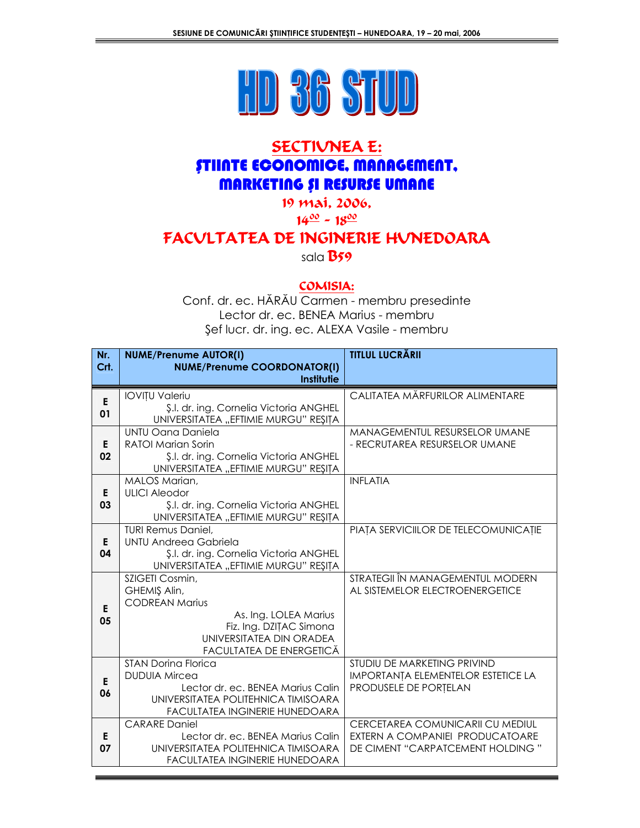

# **SECTIVNEA E: STIINTE ECONOMICE, MANAGEMENT, MARKETING ȘI RESURSE UMANE**

19 mai, 2006,

 $14\frac{00}{2} \approx 18\frac{00}{2}$ 

## FACVLTATEA DE INGINERIE HUNEDOARA

sala B59

#### COMISIA:

Conf. dr. ec. HĂRĂU Carmen - membru presedinte Lector dr. ec. BENEA Marius - membru Şef lucr. dr. ing. ec. ALEXA Vasile - membru

| Nr.      | <b>NUME/Prenume AUTOR(I)</b>                                                                                                                                         | <b>TITLUL LUCRĂRII</b>                                                                                  |
|----------|----------------------------------------------------------------------------------------------------------------------------------------------------------------------|---------------------------------------------------------------------------------------------------------|
| Crt.     | <b>NUME/Prenume COORDONATOR(I)</b><br>Institutie                                                                                                                     |                                                                                                         |
| E<br>01  | <b>IOVIȚU Valeriu</b><br>\$.l. dr. ing. Cornelia Victoria ANGHEL<br>UNIVERSITATEA "EFTIMIE MURGU" REȘIȚA                                                             | CALITATEA MĂRFURILOR ALIMENTARE                                                                         |
| E<br>02  | UNTU Oana Daniela<br><b>RATOI Marian Sorin</b><br>\$.l. dr. ing. Cornelia Victoria ANGHEL<br>UNIVERSITATEA "EFTIMIE MURGU" REŞITA                                    | <b>MANAGEMENTUL RESURSELOR UMANE</b><br>- RECRUTAREA RESURSELOR UMANE                                   |
| E<br>03  | <b>MALOS Marian,</b><br><b>ULICI Aleodor</b><br>\$.l. dr. ing. Cornelia Victoria ANGHEL<br>UNIVERSITATEA "EFTIMIE MURGU" REȘIȚA                                      | <b>INFLATIA</b>                                                                                         |
| E.<br>04 | <b>TURI Remus Daniel,</b><br><b>UNTU Andreea Gabriela</b><br>\$.l. dr. ing. Cornelia Victoria ANGHEL<br>UNIVERSITATEA "EFTIMIE MURGU" REȘITA                         | PIAȚA SERVICIILOR DE TELECOMUNICAȚIE                                                                    |
| E<br>05  | SZIGETI Cosmin,<br>GHEMIŞ Alin,<br><b>CODREAN Marius</b><br>As. Ing. LOLEA Marius<br>Fiz. Ing. DZITAC Simona<br>UNIVERSITATEA DIN ORADEA<br>FACULTATEA DE ENERGETICĂ | STRATEGII ÎN MANAGEMENTUL MODERN<br>AL SISTEMELOR ELECTROENERGETICE                                     |
| E<br>06  | <b>STAN Dorina Florica</b><br><b>DUDUIA Mircea</b><br>Lector dr. ec. BENEA Marius Calin<br>UNIVERSITATEA POLITEHNICA TIMISOARA<br>FACULTATEA INGINERIE HUNEDOARA     | STUDIU DE MARKETING PRIVIND<br>IMPORTANȚA ELEMENTELOR ESTETICE LA<br>PRODUSELE DE PORȚELAN              |
| Е<br>07  | <b>CARARE Daniel</b><br>Lector dr. ec. BENEA Marius Calin<br>UNIVERSITATEA POLITEHNICA TIMISOARA<br>FACULTATEA INGINERIE HUNEDOARA                                   | CERCETAREA COMUNICARII CU MEDIUL<br>EXTERN A COMPANIEI PRODUCATOARE<br>DE CIMENT "CARPATCEMENT HOLDING" |